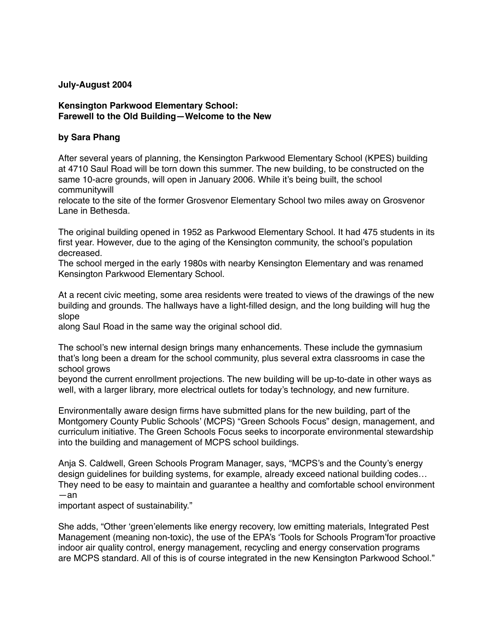## **July-August 2004**

## **Kensington Parkwood Elementary School: Farewell to the Old Building—Welcome to the New**

## **by Sara Phang**

After several years of planning, the Kensington Parkwood Elementary School (KPES) building at 4710 Saul Road will be torn down this summer. The new building, to be constructed on the same 10-acre grounds, will open in January 2006. While it's being built, the school communitywill

relocate to the site of the former Grosvenor Elementary School two miles away on Grosvenor Lane in Bethesda.

The original building opened in 1952 as Parkwood Elementary School. It had 475 students in its first year. However, due to the aging of the Kensington community, the school's population decreased.

The school merged in the early 1980s with nearby Kensington Elementary and was renamed Kensington Parkwood Elementary School.

At a recent civic meeting, some area residents were treated to views of the drawings of the new building and grounds. The hallways have a light-filled design, and the long building will hug the slope

along Saul Road in the same way the original school did.

The school's new internal design brings many enhancements. These include the gymnasium that's long been a dream for the school community, plus several extra classrooms in case the school grows

beyond the current enrollment projections. The new building will be up-to-date in other ways as well, with a larger library, more electrical outlets for today's technology, and new furniture.

Environmentally aware design firms have submitted plans for the new building, part of the Montgomery County Public Schools' (MCPS) "Green Schools Focus" design, management, and curriculum initiative. The Green Schools Focus seeks to incorporate environmental stewardship into the building and management of MCPS school buildings.

Anja S. Caldwell, Green Schools Program Manager, says, "MCPS's and the County's energy design guidelines for building systems, for example, already exceed national building codes... They need to be easy to maintain and guarantee a healthy and comfortable school environment —an

important aspect of sustainability."

She adds, "Other 'green'elements like energy recovery, low emitting materials, Integrated Pest Management (meaning non-toxic), the use of the EPA's 'Tools for Schools Program'for proactive indoor air quality control, energy management, recycling and energy conservation programs are MCPS standard. All of this is of course integrated in the new Kensington Parkwood School."